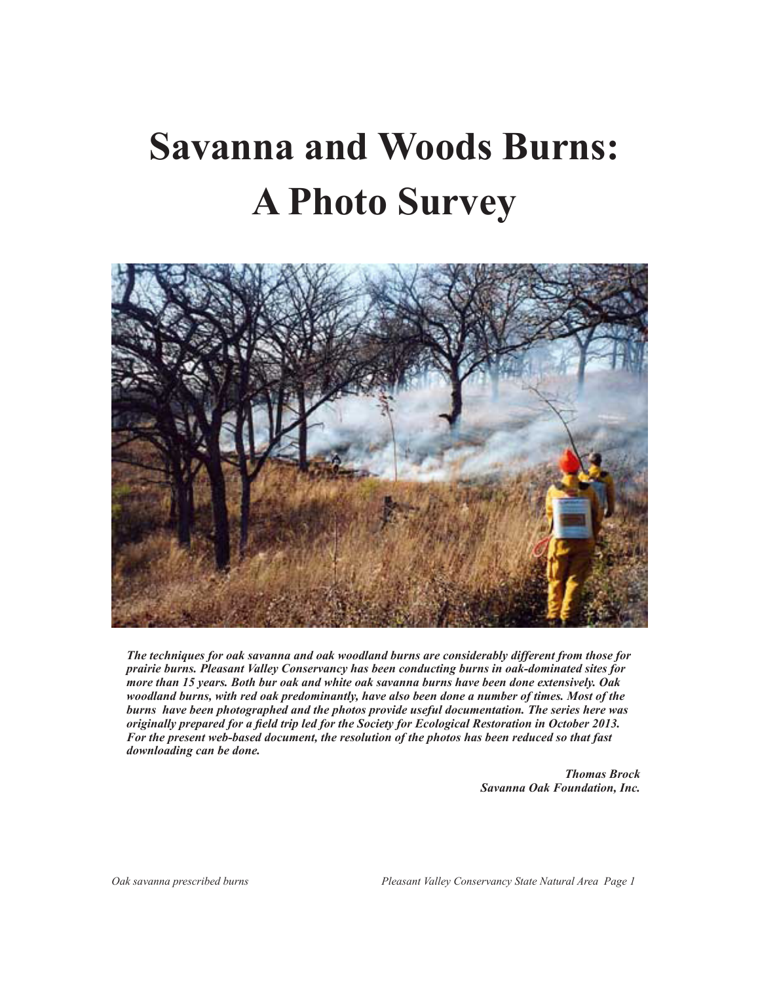# **Savanna and Woods Burns: A Photo Survey**



*The techniques for oak savanna and oak woodland burns are considerably different from those for prairie burns. Pleasant Valley Conservancy has been conducting burns in oak-dominated sites for more than 15 years. Both bur oak and white oak savanna burns have been done extensively. Oak woodland burns, with red oak predominantly, have also been done a number of times. Most of the burns have been photographed and the photos provide useful documentation. The series here was originally prepared for a field trip led for the Society for Ecological Restoration in October 2013. For the present web-based document, the resolution of the photos has been reduced so that fast downloading can be done.*

> *Thomas Brock Savanna Oak Foundation, Inc.*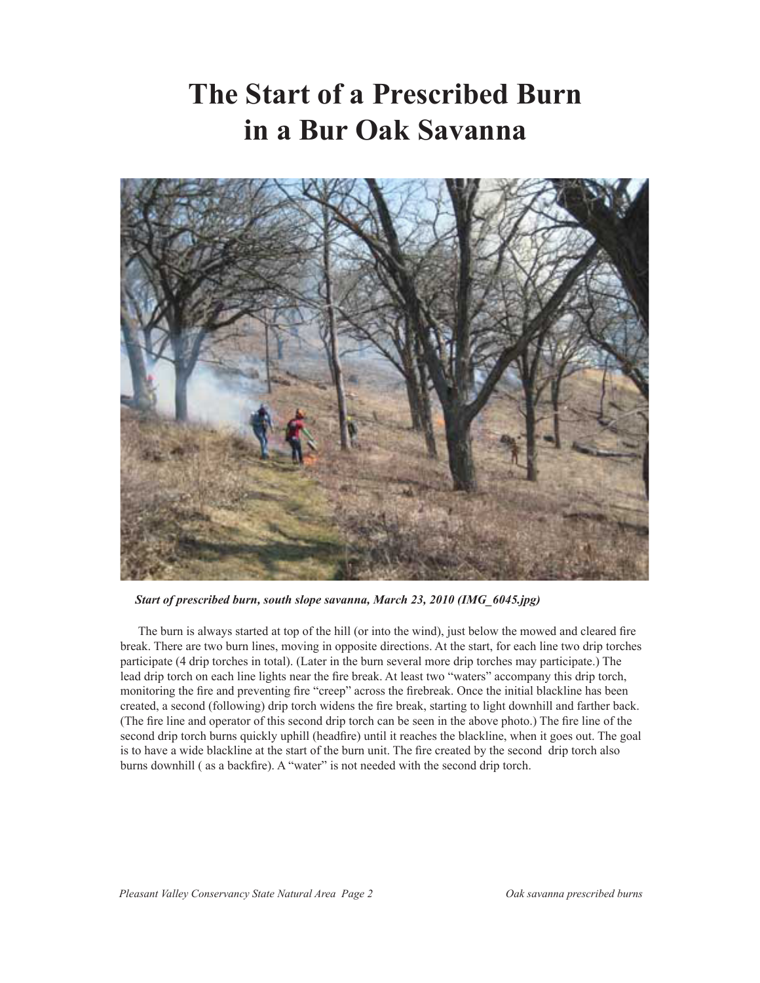#### **The Start of a Prescribed Burn in a Bur Oak Savanna**



*Start of prescribed burn, south slope savanna, March 23, 2010 (IMG\_6045.jpg)*

The burn is always started at top of the hill (or into the wind), just below the mowed and cleared fire break. There are two burn lines, moving in opposite directions. At the start, for each line two drip torches participate (4 drip torches in total). (Later in the burn several more drip torches may participate.) The lead drip torch on each line lights near the fire break. At least two "waters" accompany this drip torch, monitoring the fire and preventing fire "creep" across the firebreak. Once the initial blackline has been created, a second (following) drip torch widens the fire break, starting to light downhill and farther back. (The fire line and operator of this second drip torch can be seen in the above photo.) The fire line of the second drip torch burns quickly uphill (headfire) until it reaches the blackline, when it goes out. The goal is to have a wide blackline at the start of the burn unit. The fire created by the second drip torch also burns downhill ( as a backfire). A "water" is not needed with the second drip torch.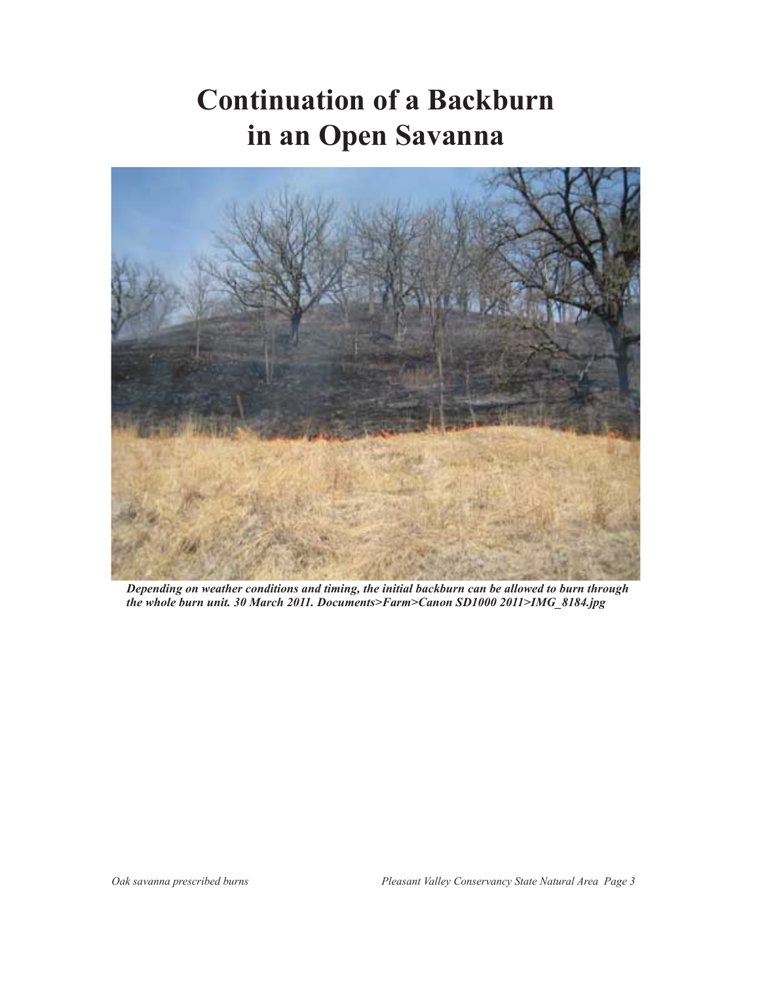# **Continuation of a Backburn in an Open Savanna**



*Depending on weather conditions and timing, the initial backburn can be allowed to burn through the whole burn unit. 30 March 2011. Documents>Farm>Canon SD1000 2011>IMG\_8184.jpg*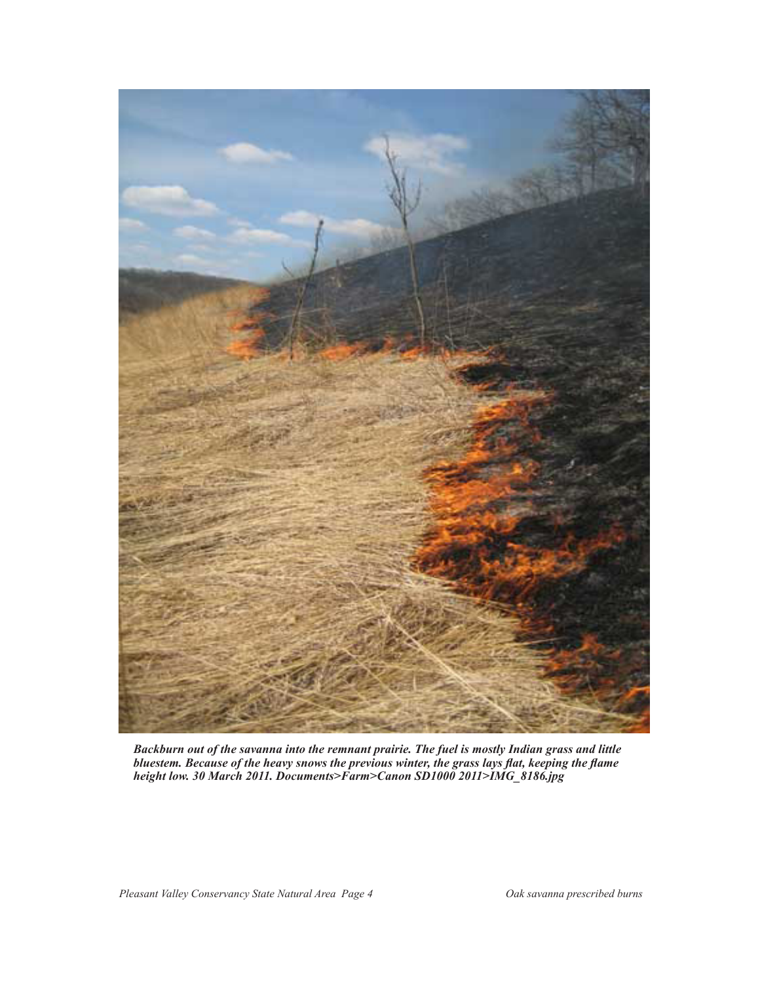

*Backburn out of the savanna into the remnant prairie. The fuel is mostly Indian grass and little bluestem. Because of the heavy snows the previous winter, the grass lays flat, keeping the flame height low. 30 March 2011. Documents>Farm>Canon SD1000 2011>IMG\_8186.jpg*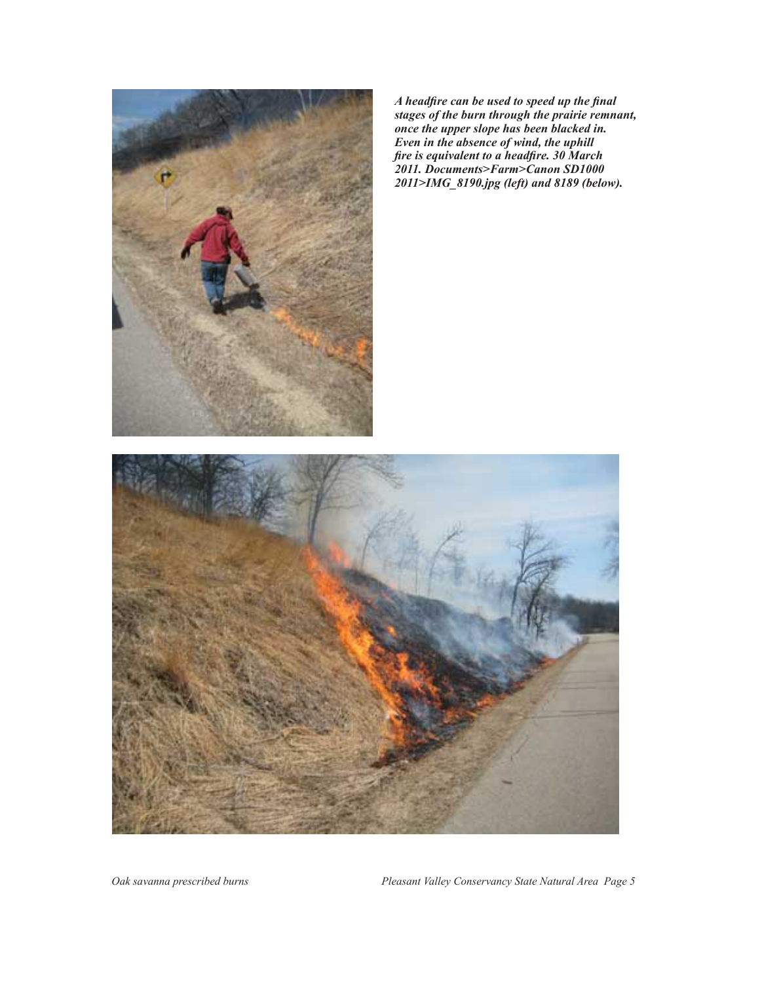

*A headfire can be used to speed up the final stages of the burn through the prairie remnant, once the upper slope has been blacked in. Even in the absence of wind, the uphill fire is equivalent to a headfire. 30 March 2011. Documents>Farm>Canon SD1000 2011>IMG\_8190.jpg (left) and 8189 (below).*



*Oak savanna prescribed burns Pleasant Valley Conservancy State Natural Area Page 5*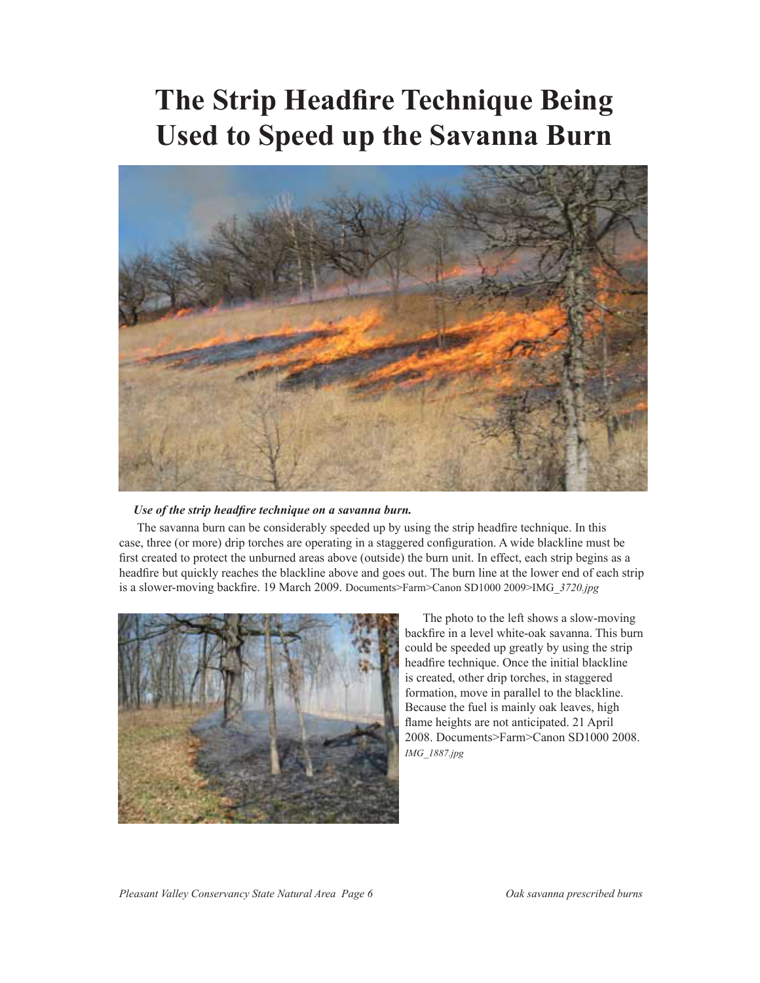### **The Strip Headfire Technique Being Used to Speed up the Savanna Burn**



#### *Use of the strip headfire technique on a savanna burn.*

The savanna burn can be considerably speeded up by using the strip headfire technique. In this case, three (or more) drip torches are operating in a staggered configuration. A wide blackline must be first created to protect the unburned areas above (outside) the burn unit. In effect, each strip begins as a headfire but quickly reaches the blackline above and goes out. The burn line at the lower end of each strip is a slower-moving backfire. 19 March 2009. Documents>Farm>Canon SD1000 2009>IMG\_*3720.jpg*



The photo to the left shows a slow-moving backfire in a level white-oak savanna. This burn could be speeded up greatly by using the strip headfire technique. Once the initial blackline is created, other drip torches, in staggered formation, move in parallel to the blackline. Because the fuel is mainly oak leaves, high flame heights are not anticipated. 21 April 2008. Documents>Farm>Canon SD1000 2008. *IMG\_1887.jpg*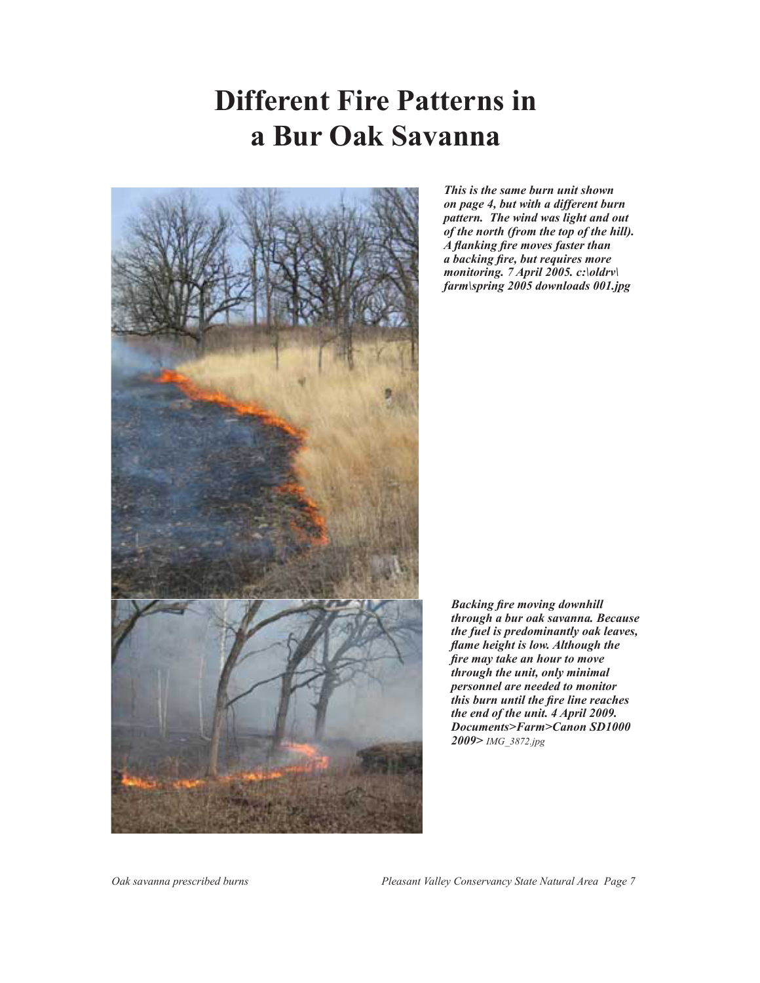# **Different Fire Patterns in a Bur Oak Savanna**



*This is the same burn unit shown on page 4, but with a different burn pattern. The wind was light and out of the north (from the top of the hill). A flanking fire moves faster than a backing fire, but requires more monitoring. 7 April 2005. c:\oldrv\ farm\spring 2005 downloads 001.jpg*

*Backing fire moving downhill through a bur oak savanna. Because the fuel is predominantly oak leaves, flame height is low. Although the fire may take an hour to move through the unit, only minimal personnel are needed to monitor this burn until the fire line reaches the end of the unit. 4 April 2009. Documents>Farm>Canon SD1000 2009> IMG\_3872.jpg*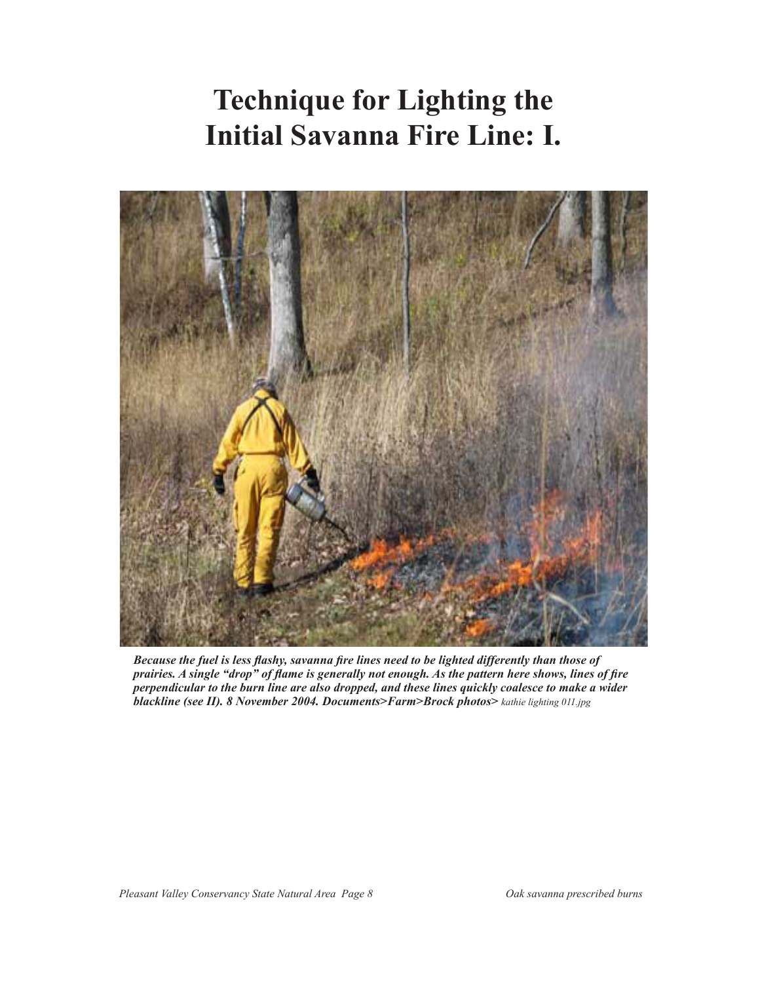# **Technique for Lighting the Initial Savanna Fire Line: I.**



*Because the fuel is less flashy, savanna fire lines need to be lighted differently than those of prairies. A single "drop" of flame is generally not enough. As the pattern here shows, lines of fire perpendicular to the burn line are also dropped, and these lines quickly coalesce to make a wider blackline (see II). 8 November 2004. Documents>Farm>Brock photos> kathie lighting 011.jpg*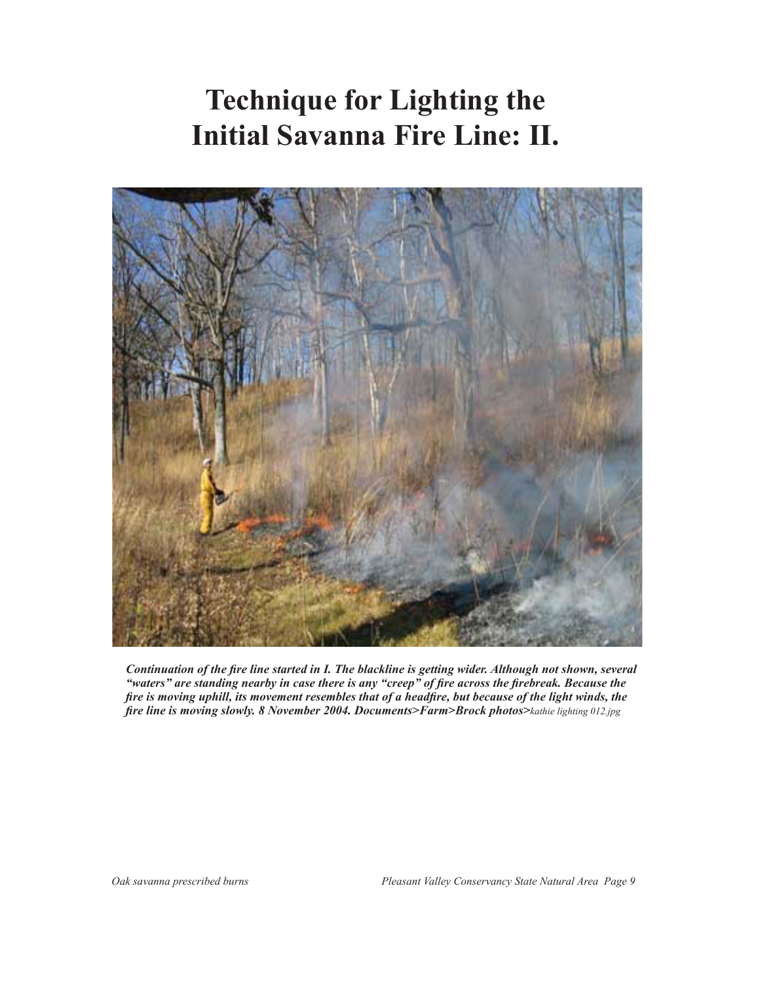# **Technique for Lighting the Initial Savanna Fire Line: II.**



*Continuation of the fire line started in I. The blackline is getting wider. Although not shown, several "waters" are standing nearby in case there is any "creep" of fire across the firebreak. Because the fire is moving uphill, its movement resembles that of a headfire, but because of the light winds, the fire line is moving slowly. 8 November 2004. Documents>Farm>Brock photos>kathie lighting 012.jpg*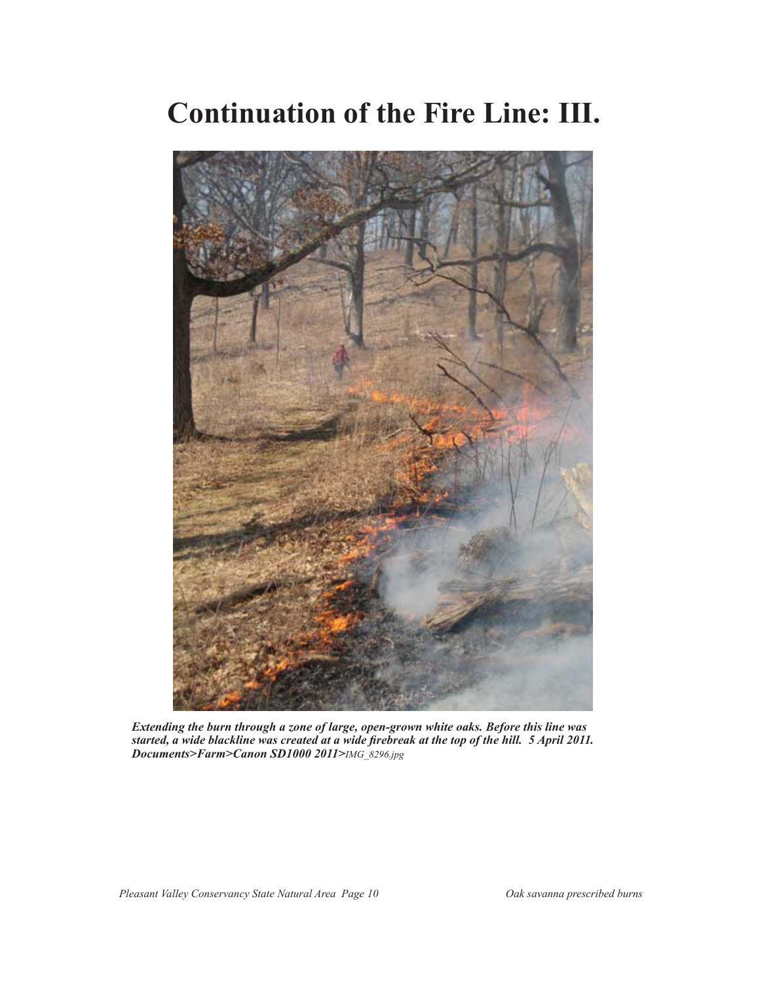#### **Continuation of the Fire Line: III.**



*Extending the burn through a zone of large, open-grown white oaks. Before this line was started, a wide blackline was created at a wide firebreak at the top of the hill. 5 April 2011. Documents>Farm>Canon SD1000 2011>IMG\_8296.jpg*